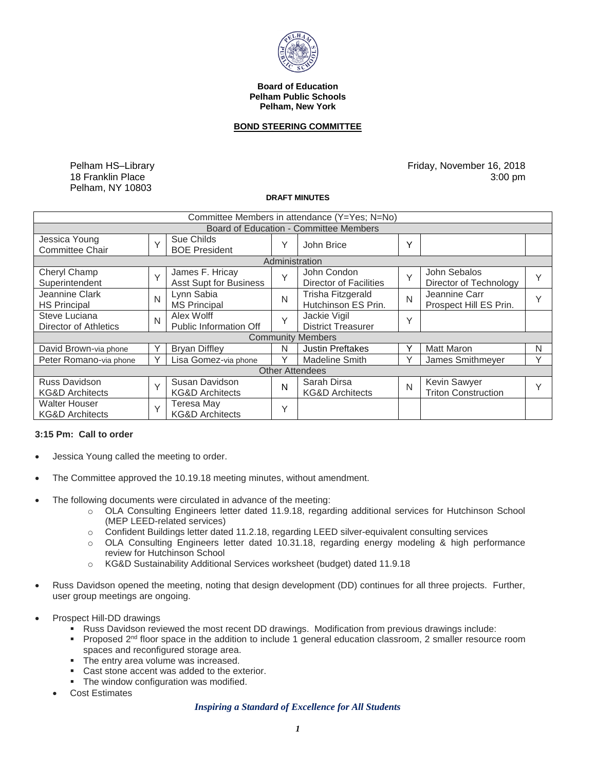

**Board of Education Pelham Public Schools Pelham, New York** 

## **BOND STEERING COMMITTEE**

Pelham HS–Library 18 Franklin Place Pelham, NY 10803

Friday, November 16, 2018 3:00 pm

#### **DRAFT MINUTES**

| Committee Members in attendance (Y=Yes; N=No)      |        |                                                  |              |                                           |        |                                            |              |
|----------------------------------------------------|--------|--------------------------------------------------|--------------|-------------------------------------------|--------|--------------------------------------------|--------------|
| Board of Education - Committee Members             |        |                                                  |              |                                           |        |                                            |              |
| Jessica Young<br><b>Committee Chair</b>            | $\vee$ | Sue Childs<br><b>BOE President</b>               | Υ            | John Brice                                | Y      |                                            |              |
| Administration                                     |        |                                                  |              |                                           |        |                                            |              |
| Cheryl Champ<br>Superintendent                     | $\vee$ | James F. Hricay<br><b>Asst Supt for Business</b> | Υ            | John Condon<br>Director of Facilities     | $\vee$ | John Sebalos<br>Director of Technology     | $\checkmark$ |
| Jeannine Clark<br><b>HS Principal</b>              | N      | Lynn Sabia<br><b>MS Principal</b>                | N            | Trisha Fitzgerald<br>Hutchinson ES Prin.  | N      | Jeannine Carr<br>Prospect Hill ES Prin.    | v            |
| Steve Luciana<br>Director of Athletics             | N      | Alex Wolff<br>Public Information Off             | $\checkmark$ | Jackie Vigil<br><b>District Treasurer</b> | Y      |                                            |              |
| <b>Community Members</b>                           |        |                                                  |              |                                           |        |                                            |              |
| David Brown-via phone                              |        | <b>Bryan Diffley</b>                             | N            | <b>Justin Preftakes</b>                   | ٧      | <b>Matt Maron</b>                          | N            |
| Peter Romano-via phone                             |        | Lisa Gomez-via phone                             | ٧            | <b>Madeline Smith</b>                     | ٧      | James Smithmeyer                           | $\checkmark$ |
| <b>Other Attendees</b>                             |        |                                                  |              |                                           |        |                                            |              |
| <b>Russ Davidson</b><br><b>KG&amp;D Architects</b> | $\vee$ | Susan Davidson<br><b>KG&amp;D Architects</b>     | N            | Sarah Dirsa<br><b>KG&amp;D Architects</b> | N      | Kevin Sawyer<br><b>Triton Construction</b> | $\checkmark$ |
| <b>Walter Houser</b><br><b>KG&amp;D Architects</b> | $\vee$ | <b>Teresa May</b><br><b>KG&amp;D Architects</b>  | Υ            |                                           |        |                                            |              |

# **3:15 Pm: Call to order**

- Jessica Young called the meeting to order.
- The Committee approved the [10.19.18](https://10.19.18) meeting minutes, without amendment.
- The following documents were circulated in advance of the meeting:
	- o OLA Consulting Engineers letter dated 11.9.18, regarding additional services for Hutchinson School (MEP LEED-related services)
	- o Confident Buildings letter dated 11.2.18, regarding LEED silver-equivalent consulting services
	- o OLA Consulting Engineers letter dated [10.31.18,](https://10.31.18) regarding energy modeling & high performance review for Hutchinson School
	- o KG&D Sustainability Additional Services worksheet (budget) dated 11.9.18
- Russ Davidson opened the meeting, noting that design development (DD) continues for all three projects. Further, user group meetings are ongoing.
- Prospect Hill-DD drawings
	- **Russ Davidson reviewed the most recent DD drawings. Modification from previous drawings include:**
	- Proposed 2<sup>nd</sup> floor space in the addition to include 1 general education classroom, 2 smaller resource room spaces and reconfigured storage area.
	- The entry area volume was increased.
	- **Cast stone accent was added to the exterior.**
	- **The window configuration was modified.**
	- Cost Estimates

## *Inspiring a Standard of Excellence for All Students*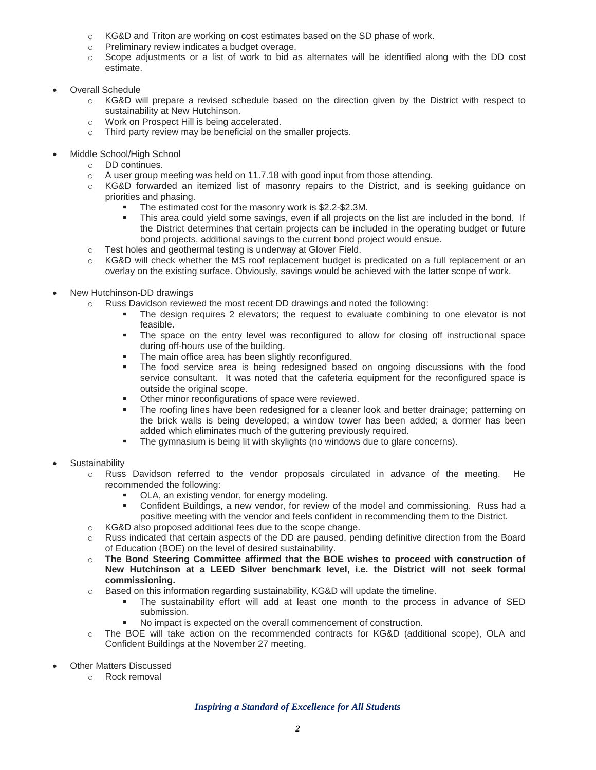- $\circ$  KG&D and Triton are working on cost estimates based on the SD phase of work.
- o Preliminary review indicates a budget overage.
- o Scope adjustments or a list of work to bid as alternates will be identified along with the DD cost estimate.
- Overall Schedule
	- o KG&D will prepare a revised schedule based on the direction given by the District with respect to sustainability at New Hutchinson.
	- o Work on Prospect Hill is being accelerated.
	- o Third party review may be beneficial on the smaller projects.
- Middle School/High School
	- o DD continues.
	- o A user group meeting was held on 11.7.18 with good input from those attending.
	- o KG&D forwarded an itemized list of masonry repairs to the District, and is seeking guidance on priorities and phasing.
		- The estimated cost for the masonry work is [\\$2.2-\\$2.3M.](https://2.2-$2.3M)
		- This area could yield some savings, even if all projects on the list are included in the bond. If the District determines that certain projects can be included in the operating budget or future bond projects, additional savings to the current bond project would ensue.
	- o Test holes and geothermal testing is underway at Glover Field.
	- $\circ$  KG&D will check whether the MS roof replacement budget is predicated on a full replacement or an overlay on the existing surface. Obviously, savings would be achieved with the latter scope of work.
- New Hutchinson-DD drawings
	- o Russ Davidson reviewed the most recent DD drawings and noted the following:
		- The design requires 2 elevators; the request to evaluate combining to one elevator is not feasible.
			- The space on the entry level was reconfigured to allow for closing off instructional space during off-hours use of the building.
			- The main office area has been slightly reconfigured.
			- service consultant. It was noted that the cafeteria equipment for the reconfigured space is The food service area is being redesigned based on ongoing discussions with the food outside the original scope.
			- **Other minor reconfigurations of space were reviewed.**
			- The roofing lines have been redesigned for a cleaner look and better drainage; patterning on the brick walls is being developed; a window tower has been added; a dormer has been added which eliminates much of the guttering previously required.
			- The gymnasium is being lit with skylights (no windows due to glare concerns).
- **Sustainability** 
	- o Russ Davidson referred to the vendor proposals circulated in advance of the meeting. He recommended the following:
		- OLA, an existing vendor, for energy modeling.
		- Confident Buildings, a new vendor, for review of the model and commissioning. Russ had a positive meeting with the vendor and feels confident in recommending them to the District.
	- o KG&D also proposed additional fees due to the scope change.
	- $\circ$  Russ indicated that certain aspects of the DD are paused, pending definitive direction from the Board of Education (BOE) on the level of desired sustainability.
	- o **The Bond Steering Committee affirmed that the BOE wishes to proceed with construction of**  New Hutchinson at a LEED Silver <u>benchmark</u> level, i.e. the District will not seek formal **commissioning.**
	- $\circ$  Based on this information regarding sustainability, KG&D will update the timeline.
		- The sustainability effort will add at least one month to the process in advance of SED submission.
		- No impact is expected on the overall commencement of construction.
	- o The BOE will take action on the recommended contracts for KG&D (additional scope), OLA and Confident Buildings at the November 27 meeting.
- Other Matters Discussed
	- o Rock removal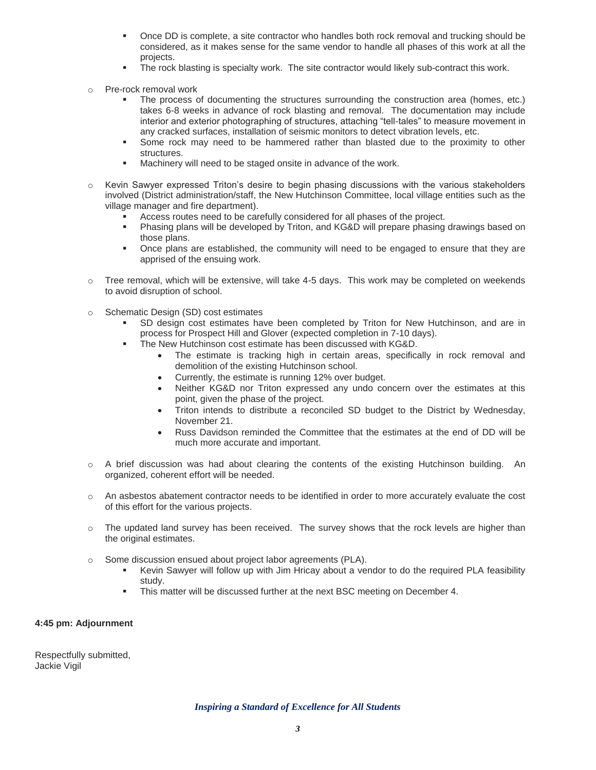- **Once DD** is complete, a site contractor who handles both rock removal and trucking should be considered, as it makes sense for the same vendor to handle all phases of this work at all the projects.
- **The rock blasting is specialty work. The site contractor would likely sub-contract this work.**
- Pre-rock removal work
	- takes 6-8 weeks in advance of rock blasting and removal. The documentation may include The process of documenting the structures surrounding the construction area (homes, etc.) interior and exterior photographing of structures, attaching "tell-tales" to measure movement in any cracked surfaces, installation of seismic monitors to detect vibration levels, etc.
	- Some rock may need to be hammered rather than blasted due to the proximity to other structures.
	- **Machinery will need to be staged onsite in advance of the work.**
- involved (District administration/staff, the New Hutchinson Committee, local village entities such as the  $\circ$  Kevin Sawyer expressed Triton's desire to begin phasing discussions with the various stakeholders village manager and fire department).
	- Access routes need to be carefully considered for all phases of the project.
	- Phasing plans will be developed by Triton, and KG&D will prepare phasing drawings based on those plans.
	- **Dianglehoral areas is absolute** the community will need to be engaged to ensure that they are apprised of the ensuing work.
- $\circ$  Tree removal, which will be extensive, will take 4-5 days. This work may be completed on weekends to avoid disruption of school.
- o Schematic Design (SD) cost estimates
	- SD design cost estimates have been completed by Triton for New Hutchinson, and are in process for Prospect Hill and Glover (expected completion in 7-10 days).
	- The New Hutchinson cost estimate has been discussed with KG&D.
		- The estimate is tracking high in certain areas, specifically in rock removal and demolition of the existing Hutchinson school.
		- Currently, the estimate is running 12% over budget.
		- Neither KG&D nor Triton expressed any undo concern over the estimates at this point, given the phase of the project.
		- Triton intends to distribute a reconciled SD budget to the District by Wednesday, November 21.
		- Russ Davidson reminded the Committee that the estimates at the end of DD will be much more accurate and important.
- o A brief discussion was had about clearing the contents of the existing Hutchinson building. An organized, coherent effort will be needed.
- o An asbestos abatement contractor needs to be identified in order to more accurately evaluate the cost of this effort for the various projects.
- o The updated land survey has been received. The survey shows that the rock levels are higher than the original estimates.
- o Some discussion ensued about project labor agreements (PLA).
	- Kevin Sawyer will follow up with Jim Hricay about a vendor to do the required PLA feasibility study.
	- **This matter will be discussed further at the next BSC meeting on December 4.**

# **4:45 pm: Adjournment**

Respectfully submitted, Jackie Vigil

 *Inspiring a Standard of Excellence for All Students*